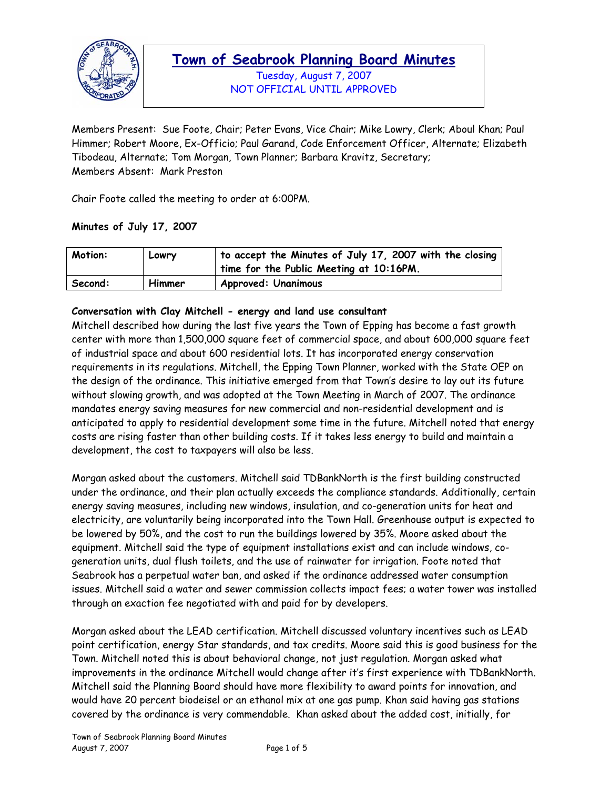

Tuesday, August 7, 2007 NOT OFFICIAL UNTIL APPROVED

Members Present: Sue Foote, Chair; Peter Evans, Vice Chair; Mike Lowry, Clerk; Aboul Khan; Paul Himmer; Robert Moore, Ex-Officio; Paul Garand, Code Enforcement Officer, Alternate; Elizabeth Tibodeau, Alternate; Tom Morgan, Town Planner; Barbara Kravitz, Secretary; Members Absent: Mark Preston

Chair Foote called the meeting to order at 6:00PM.

#### **Minutes of July 17, 2007**

| Motion: | Lowry  | to accept the Minutes of July 17, 2007 with the closing<br>time for the Public Meeting at 10:16PM. |
|---------|--------|----------------------------------------------------------------------------------------------------|
| Second: | Himmer | <b>Approved: Unanimous</b>                                                                         |

#### **Conversation with Clay Mitchell - energy and land use consultant**

Mitchell described how during the last five years the Town of Epping has become a fast growth center with more than 1,500,000 square feet of commercial space, and about 600,000 square feet of industrial space and about 600 residential lots. It has incorporated energy conservation requirements in its regulations. Mitchell, the Epping Town Planner, worked with the State OEP on the design of the ordinance. This initiative emerged from that Town's desire to lay out its future without slowing growth, and was adopted at the Town Meeting in March of 2007. The ordinance mandates energy saving measures for new commercial and non-residential development and is anticipated to apply to residential development some time in the future. Mitchell noted that energy costs are rising faster than other building costs. If it takes less energy to build and maintain a development, the cost to taxpayers will also be less.

Morgan asked about the customers. Mitchell said TDBankNorth is the first building constructed under the ordinance, and their plan actually exceeds the compliance standards. Additionally, certain energy saving measures, including new windows, insulation, and co-generation units for heat and electricity, are voluntarily being incorporated into the Town Hall. Greenhouse output is expected to be lowered by 50%, and the cost to run the buildings lowered by 35%. Moore asked about the equipment. Mitchell said the type of equipment installations exist and can include windows, cogeneration units, dual flush toilets, and the use of rainwater for irrigation. Foote noted that Seabrook has a perpetual water ban, and asked if the ordinance addressed water consumption issues. Mitchell said a water and sewer commission collects impact fees; a water tower was installed through an exaction fee negotiated with and paid for by developers.

Morgan asked about the LEAD certification. Mitchell discussed voluntary incentives such as LEAD point certification, energy Star standards, and tax credits. Moore said this is good business for the Town. Mitchell noted this is about behavioral change, not just regulation. Morgan asked what improvements in the ordinance Mitchell would change after it's first experience with TDBankNorth. Mitchell said the Planning Board should have more flexibility to award points for innovation, and would have 20 percent biodeisel or an ethanol mix at one gas pump. Khan said having gas stations covered by the ordinance is very commendable. Khan asked about the added cost, initially, for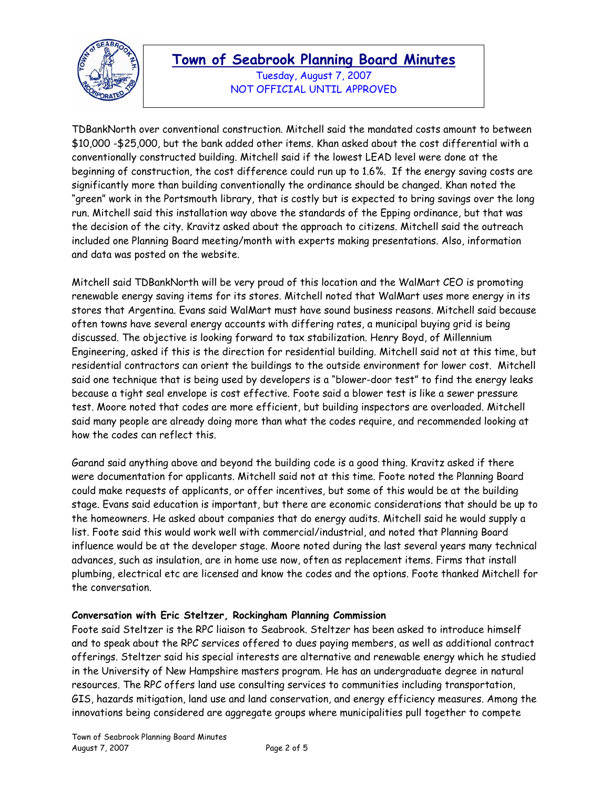

Tuesday, August 7, 2007 NOT OFFICIAL UNTIL APPROVED

TDBankNorth over conventional construction. Mitchell said the mandated costs amount to between \$10,000 -\$25,000, but the bank added other items. Khan asked about the cost differential with a conventionally constructed building. Mitchell said if the lowest LEAD level were done at the beginning of construction, the cost difference could run up to 1.6%. If the energy saving costs are significantly more than building conventionally the ordinance should be changed. Khan noted the "green" work in the Portsmouth library, that is costly but is expected to bring savings over the long run. Mitchell said this installation way above the standards of the Epping ordinance, but that was the decision of the city. Kravitz asked about the approach to citizens. Mitchell said the outreach included one Planning Board meeting/month with experts making presentations. Also, information and data was posted on the website.

Mitchell said TDBankNorth will be very proud of this location and the WalMart CEO is promoting renewable energy saving items for its stores. Mitchell noted that WalMart uses more energy in its stores that Argentina. Evans said WalMart must have sound business reasons. Mitchell said because often towns have several energy accounts with differing rates, a municipal buying grid is being discussed. The objective is looking forward to tax stabilization. Henry Boyd, of Millennium Engineering, asked if this is the direction for residential building. Mitchell said not at this time, but residential contractors can orient the buildings to the outside environment for lower cost. Mitchell said one technique that is being used by developers is a "blower-door test" to find the energy leaks because a tight seal envelope is cost effective. Foote said a blower test is like a sewer pressure test. Moore noted that codes are more efficient, but building inspectors are overloaded. Mitchell said many people are already doing more than what the codes require, and recommended looking at how the codes can reflect this.

Garand said anything above and beyond the building code is a good thing. Kravitz asked if there were documentation for applicants. Mitchell said not at this time. Foote noted the Planning Board could make requests of applicants, or offer incentives, but some of this would be at the building stage. Evans said education is important, but there are economic considerations that should be up to the homeowners. He asked about companies that do energy audits. Mitchell said he would supply a list. Foote said this would work well with commercial/industrial, and noted that Planning Board influence would be at the developer stage. Moore noted during the last several years many technical advances, such as insulation, are in home use now, often as replacement items. Firms that install plumbing, electrical etc are licensed and know the codes and the options. Foote thanked Mitchell for the conversation.

#### **Conversation with Eric Steltzer, Rockingham Planning Commission**

Foote said Steltzer is the RPC liaison to Seabrook. Steltzer has been asked to introduce himself and to speak about the RPC services offered to dues paying members, as well as additional contract offerings. Steltzer said his special interests are alternative and renewable energy which he studied in the University of New Hampshire masters program. He has an undergraduate degree in natural resources. The RPC offers land use consulting services to communities including transportation, GIS, hazards mitigation, land use and land conservation, and energy efficiency measures. Among the innovations being considered are aggregate groups where municipalities pull together to compete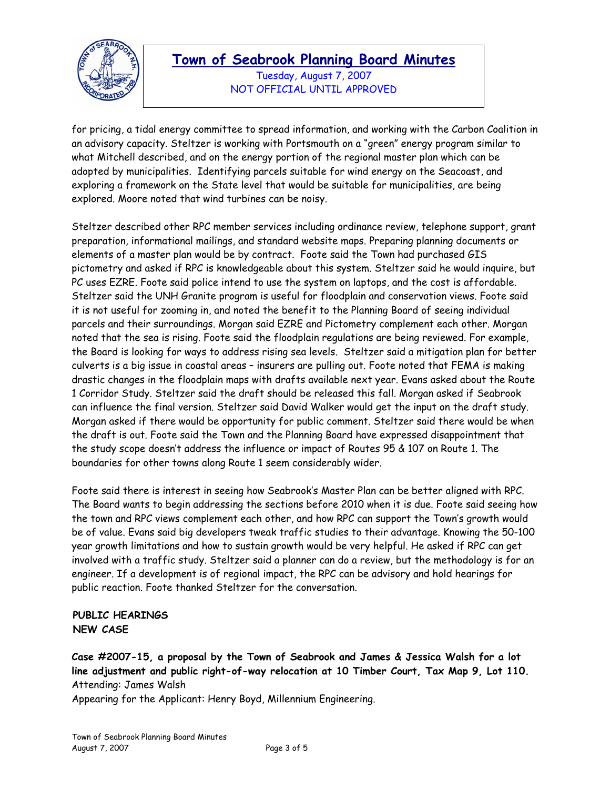

Tuesday, August 7, 2007 NOT OFFICIAL UNTIL APPROVED

for pricing, a tidal energy committee to spread information, and working with the Carbon Coalition in an advisory capacity. Steltzer is working with Portsmouth on a "green" energy program similar to what Mitchell described, and on the energy portion of the regional master plan which can be adopted by municipalities. Identifying parcels suitable for wind energy on the Seacoast, and exploring a framework on the State level that would be suitable for municipalities, are being explored. Moore noted that wind turbines can be noisy.

Steltzer described other RPC member services including ordinance review, telephone support, grant preparation, informational mailings, and standard website maps. Preparing planning documents or elements of a master plan would be by contract. Foote said the Town had purchased GIS pictometry and asked if RPC is knowledgeable about this system. Steltzer said he would inquire, but PC uses EZRE. Foote said police intend to use the system on laptops, and the cost is affordable. Steltzer said the UNH Granite program is useful for floodplain and conservation views. Foote said it is not useful for zooming in, and noted the benefit to the Planning Board of seeing individual parcels and their surroundings. Morgan said EZRE and Pictometry complement each other. Morgan noted that the sea is rising. Foote said the floodplain regulations are being reviewed. For example, the Board is looking for ways to address rising sea levels. Steltzer said a mitigation plan for better culverts is a big issue in coastal areas – insurers are pulling out. Foote noted that FEMA is making drastic changes in the floodplain maps with drafts available next year. Evans asked about the Route 1 Corridor Study. Steltzer said the draft should be released this fall. Morgan asked if Seabrook can influence the final version. Steltzer said David Walker would get the input on the draft study. Morgan asked if there would be opportunity for public comment. Steltzer said there would be when the draft is out. Foote said the Town and the Planning Board have expressed disappointment that the study scope doesn't address the influence or impact of Routes 95 & 107 on Route 1. The boundaries for other towns along Route 1 seem considerably wider.

Foote said there is interest in seeing how Seabrook's Master Plan can be better aligned with RPC. The Board wants to begin addressing the sections before 2010 when it is due. Foote said seeing how the town and RPC views complement each other, and how RPC can support the Town's growth would be of value. Evans said big developers tweak traffic studies to their advantage. Knowing the 50-100 year growth limitations and how to sustain growth would be very helpful. He asked if RPC can get involved with a traffic study. Steltzer said a planner can do a review, but the methodology is for an engineer. If a development is of regional impact, the RPC can be advisory and hold hearings for public reaction. Foote thanked Steltzer for the conversation.

### **PUBLIC HEARINGS NEW CASE**

**Case #2007-15, a proposal by the Town of Seabrook and James & Jessica Walsh for a lot line adjustment and public right-of-way relocation at 10 Timber Court, Tax Map 9, Lot 110.**  Attending: James Walsh

Appearing for the Applicant: Henry Boyd, Millennium Engineering.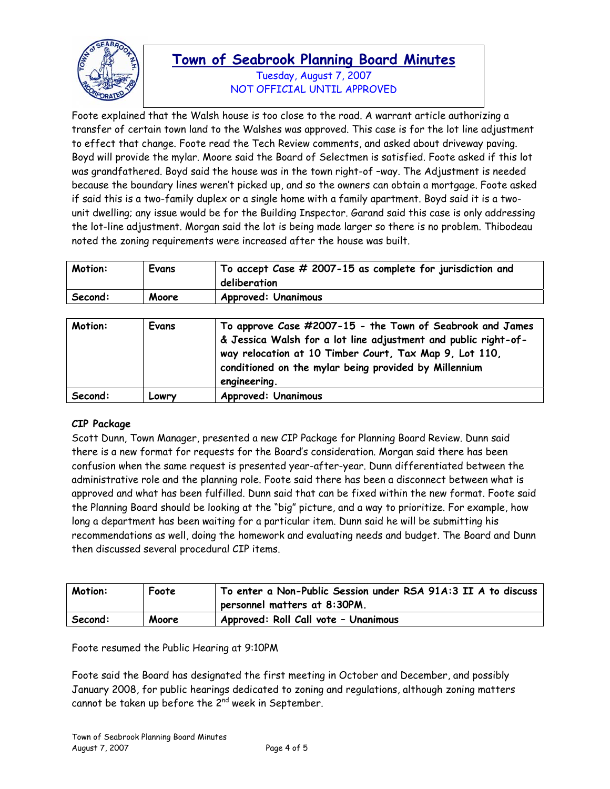

Tuesday, August 7, 2007 NOT OFFICIAL UNTIL APPROVED

Foote explained that the Walsh house is too close to the road. A warrant article authorizing a transfer of certain town land to the Walshes was approved. This case is for the lot line adjustment to effect that change. Foote read the Tech Review comments, and asked about driveway paving. Boyd will provide the mylar. Moore said the Board of Selectmen is satisfied. Foote asked if this lot was grandfathered. Boyd said the house was in the town right-of –way. The Adjustment is needed because the boundary lines weren't picked up, and so the owners can obtain a mortgage. Foote asked if said this is a two-family duplex or a single home with a family apartment. Boyd said it is a twounit dwelling; any issue would be for the Building Inspector. Garand said this case is only addressing the lot-line adjustment. Morgan said the lot is being made larger so there is no problem. Thibodeau noted the zoning requirements were increased after the house was built.

| Motion: | Evans | To accept $\mathcal C$ ase $\#$ 2007-15 as complete for jurisdiction and<br>deliberation |
|---------|-------|------------------------------------------------------------------------------------------|
| Second: | Moore | <b>Approved: Unanimous</b>                                                               |

| Motion: | Evans | To approve Case #2007-15 - the Town of Seabrook and James<br>& Jessica Walsh for a lot line adjustment and public right-of-<br>way relocation at 10 Timber Court, Tax Map 9, Lot 110,<br>conditioned on the mylar being provided by Millennium<br>engineering. |
|---------|-------|----------------------------------------------------------------------------------------------------------------------------------------------------------------------------------------------------------------------------------------------------------------|
| Second: | Lowry | <b>Approved: Unanimous</b>                                                                                                                                                                                                                                     |

#### **CIP Package**

Scott Dunn, Town Manager, presented a new CIP Package for Planning Board Review. Dunn said there is a new format for requests for the Board's consideration. Morgan said there has been confusion when the same request is presented year-after-year. Dunn differentiated between the administrative role and the planning role. Foote said there has been a disconnect between what is approved and what has been fulfilled. Dunn said that can be fixed within the new format. Foote said the Planning Board should be looking at the "big" picture, and a way to prioritize. For example, how long a department has been waiting for a particular item. Dunn said he will be submitting his recommendations as well, doing the homework and evaluating needs and budget. The Board and Dunn then discussed several procedural CIP items.

| Motion: | Foote | To enter a Non-Public Session under RSA 91A:3 II A to discuss<br>personnel matters at 8:30PM. |
|---------|-------|-----------------------------------------------------------------------------------------------|
| Second: | Moore | Approved: Roll Call vote - Unanimous                                                          |

Foote resumed the Public Hearing at 9:10PM

Foote said the Board has designated the first meeting in October and December, and possibly January 2008, for public hearings dedicated to zoning and regulations, although zoning matters cannot be taken up before the 2<sup>nd</sup> week in September.